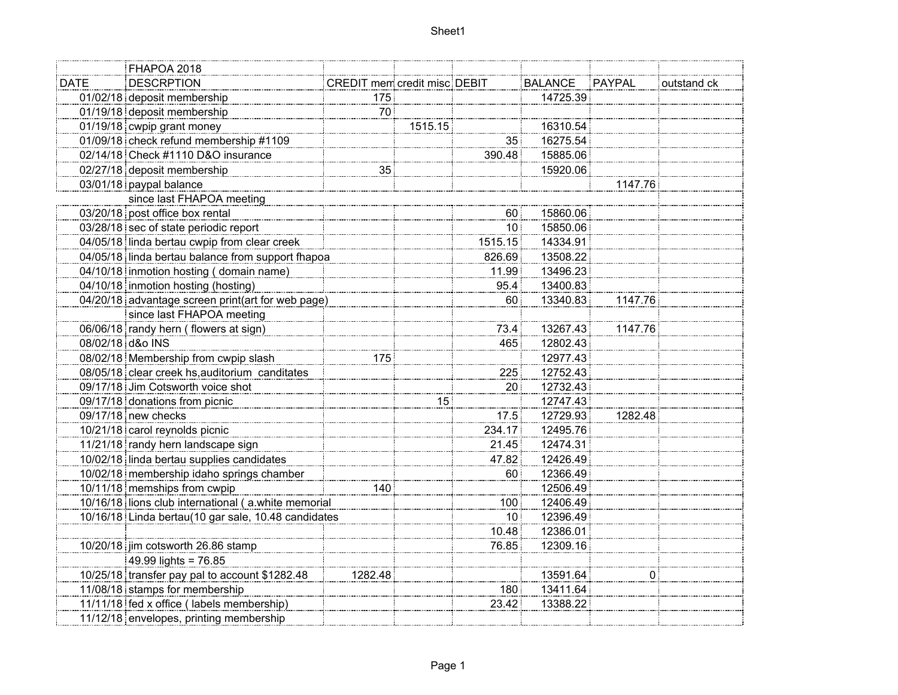|                           | FHAPOA 2018                                         |                                     |         |                    |                |         |             |
|---------------------------|-----------------------------------------------------|-------------------------------------|---------|--------------------|----------------|---------|-------------|
| <b>DATE</b>               | <b>DESCRPTION</b>                                   | <b>CREDIT mem credit misc DEBIT</b> |         |                    | <b>BALANCE</b> | PAYPAL  | outstand ck |
|                           | 01/02/18 deposit membership                         | 175 <sup>3</sup>                    |         |                    | 14725.39       |         |             |
|                           | 01/19/18 deposit membership                         | 70 <sub>1</sub>                     |         |                    |                |         |             |
|                           | 01/19/18 cwpip grant money                          |                                     | 1515.15 |                    | 16310.54       |         |             |
|                           | 01/09/18 check refund membership #1109              |                                     |         | 35                 | 16275.54       |         |             |
|                           | 02/14/18 Check #1110 D&O insurance                  |                                     |         | 390.48             | 15885.06       |         |             |
|                           | 02/27/18 deposit membership                         | 35                                  |         |                    | 15920.06       |         |             |
|                           | 03/01/18 paypal balance                             |                                     |         |                    |                | 1147.76 |             |
| since last FHAPOA meeting |                                                     |                                     |         |                    |                |         |             |
|                           | 03/20/18 post office box rental                     |                                     |         | 60                 | 15860.06       |         |             |
|                           | 03/28/18 sec of state periodic report               |                                     |         | 10 <sub>1</sub>    | 15850.06       |         |             |
|                           | 04/05/18 linda bertau cwpip from clear creek        |                                     |         | 1515.15            | 14334.91       |         |             |
|                           | 04/05/18 linda bertau balance from support fhapoa   |                                     |         | 826.69             | 13508.22       |         |             |
|                           | 04/10/18 inmotion hosting (domain name)             |                                     |         | 11.99              | 13496.23       |         |             |
|                           | 04/10/18 inmotion hosting (hosting)                 |                                     |         | 95.4               | 13400.83       |         |             |
|                           | 04/20/18 advantage screen print(art for web page)   |                                     |         | $60^{\frac{1}{3}}$ | 13340.83       | 1147.76 |             |
|                           | since last FHAPOA meeting                           |                                     |         |                    |                |         |             |
|                           | 06/06/18 randy hern (flowers at sign)               |                                     |         | 73.4               | 13267.43       | 1147.76 |             |
| 08/02/18 d&o INS          |                                                     |                                     |         | 465                | 12802.43       |         |             |
|                           | 08/02/18 Membership from cwpip slash                | 175                                 |         |                    | 12977.43       |         |             |
|                           | 08/05/18 clear creek hs, auditorium canditates      |                                     |         | 225                | 12752.43       |         |             |
|                           | 09/17/18 Jim Cotsworth voice shot                   |                                     |         | 20 <sub>1</sub>    | 12732.43       |         |             |
|                           | 09/17/18 donations from picnic                      |                                     | 15      |                    | 12747.43       |         |             |
|                           | 09/17/18 new checks                                 |                                     |         | 17.5               | 12729.93       | 1282.48 |             |
|                           | 10/21/18 carol reynolds picnic                      |                                     |         | 234.17             | 12495.76       |         |             |
|                           | 11/21/18 randy hern landscape sign                  |                                     |         | 21.45              | 12474.31       |         |             |
|                           | 10/02/18 linda bertau supplies candidates           |                                     |         | 47.82              | 12426.49       |         |             |
|                           | 10/02/18 membership idaho springs chamber           |                                     |         | $60^{\frac{1}{3}}$ | 12366.49       |         |             |
|                           | 10/11/18 memships from cwpip                        | 140                                 |         |                    | 12506.49       |         |             |
|                           | 10/16/18 lions club international (a.white memorial |                                     |         | 100                | 12406.49       |         |             |
|                           | 10/16/18 Linda bertau(10 gar sale, 10.48 candidates |                                     |         | 10 <sup>1</sup>    | 12396.49       |         |             |
|                           |                                                     |                                     |         | 10.48              | 12386.01       |         |             |
|                           | 10/20/18 jim cotsworth 26.86 stamp                  |                                     |         | 76.85              | 12309.16       |         |             |
|                           | 49.99 lights = 76.85                                |                                     |         |                    |                |         |             |
|                           | 10/25/18 transfer pay pal to account \$1282.48      | 1282.48                             |         |                    | 13591.64       | 0 :     |             |
|                           | 11/08/18 stamps for membership                      |                                     |         | 180                | 13411.64       |         |             |
|                           | 11/11/18 fed x office (labels membership)           |                                     |         | 23.42              | 13388.22       |         |             |
|                           | 11/12/18 envelopes, printing membership             |                                     |         |                    |                |         |             |